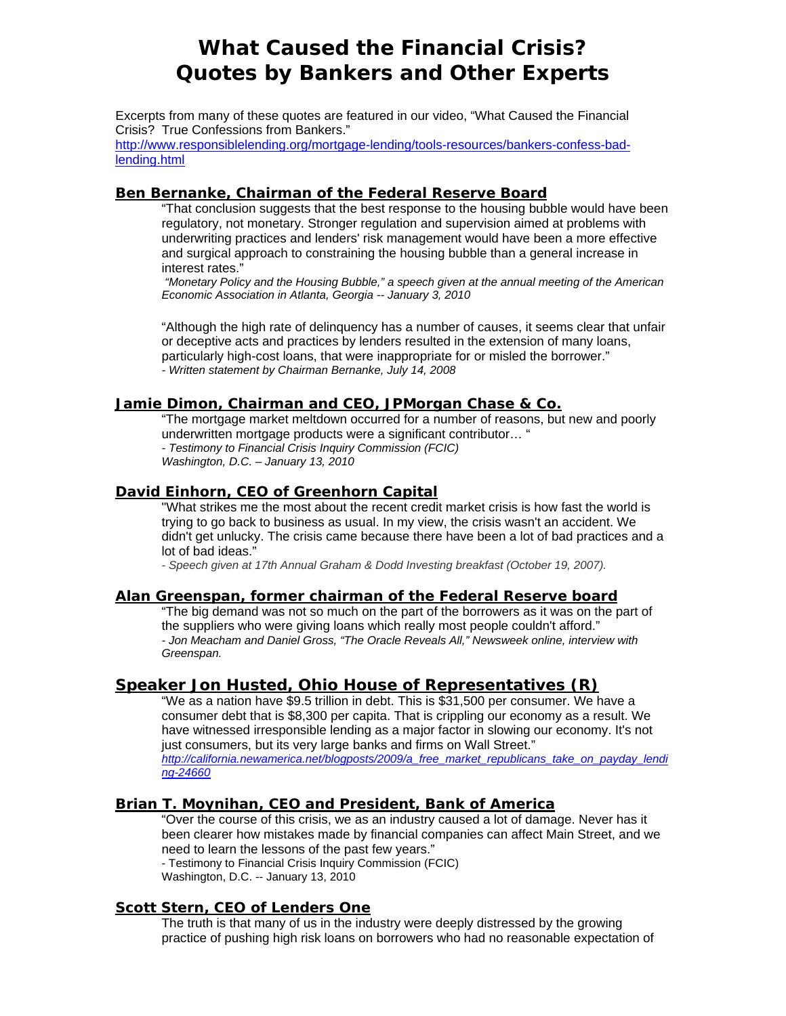# **What Caused the Financial Crisis? Quotes by Bankers and Other Experts**

Excerpts from many of these quotes are featured in our video, "What Caused the Financial Crisis? True Confessions from Bankers."

http://www.responsiblelending.org/mortgage-lending/tools-resources/bankers-confess-badlending.html

#### **Ben Bernanke, Chairman of the Federal Reserve Board**

"That conclusion suggests that the best response to the housing bubble would have been regulatory, not monetary. Stronger regulation and supervision aimed at problems with underwriting practices and lenders' risk management would have been a more effective and surgical approach to constraining the housing bubble than a general increase in interest rates."

*"Monetary Policy and the Housing Bubble," a speech given at the annual meeting of the American Economic Association in Atlanta, Georgia -- January 3, 2010*

"Although the high rate of delinquency has a number of causes, it seems clear that unfair or deceptive acts and practices by lenders resulted in the extension of many loans, particularly high-cost loans, that were inappropriate for or misled the borrower." *- Written statement by Chairman Bernanke, July 14, 2008* 

#### **Jamie Dimon, Chairman and CEO, JPMorgan Chase & Co.**

"The mortgage market meltdown occurred for a number of reasons, but new and poorly underwritten mortgage products were a significant contributor… " *- Testimony to Financial Crisis Inquiry Commission (FCIC) Washington, D.C. – January 13, 2010* 

#### **David Einhorn, CEO of Greenhorn Capital**

"What strikes me the most about the recent credit market crisis is how fast the world is trying to go back to business as usual. In my view, the crisis wasn't an accident. We didn't get unlucky. The crisis came because there have been a lot of bad practices and a lot of bad ideas."

*- Speech given at 17th Annual Graham & Dodd Investing breakfast (October 19, 2007).*

#### **Alan Greenspan, former chairman of the Federal Reserve board**

"The big demand was not so much on the part of the borrowers as it was on the part of the suppliers who were giving loans which really most people couldn't afford." *- Jon Meacham and Daniel Gross, "The Oracle Reveals All," Newsweek online, interview with Greenspan.* 

#### **Speaker Jon Husted, Ohio House of Representatives (R)**

"We as a nation have \$9.5 trillion in debt. This is \$31,500 per consumer. We have a consumer debt that is \$8,300 per capita. That is crippling our economy as a result. We have witnessed irresponsible lending as a major factor in slowing our economy. It's not just consumers, but its very large banks and firms on Wall Street." *http://california.newamerica.net/blogposts/2009/a\_free\_market\_republicans\_take\_on\_payday\_lendi ng-24660*

#### **Brian T. Moynihan, CEO and President, Bank of America**

"Over the course of this crisis, we as an industry caused a lot of damage. Never has it been clearer how mistakes made by financial companies can affect Main Street, and we need to learn the lessons of the past few years."

- Testimony to Financial Crisis Inquiry Commission (FCIC) Washington, D.C. -- January 13, 2010

## **Scott Stern, CEO of Lenders One**

The truth is that many of us in the industry were deeply distressed by the growing practice of pushing high risk loans on borrowers who had no reasonable expectation of